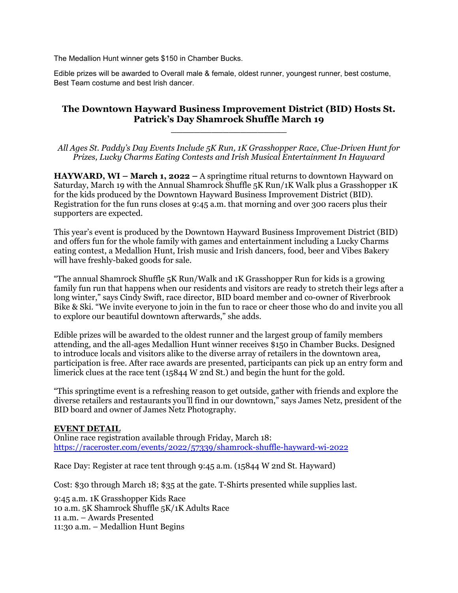The Medallion Hunt winner gets \$150 in Chamber Bucks.

Edible prizes will be awarded to Overall male & female, oldest runner, youngest runner, best costume, Best Team costume and best Irish dancer.

## **The Downtown Hayward Business Improvement District (BID) Hosts St. Patrick's Day Shamrock Shuffle March 19**

**\_\_\_\_\_\_\_\_\_\_\_\_\_\_\_\_\_\_\_\_**

*All Ages St. Paddy's Day Events Include 5K Run, 1K Grasshopper Race, Clue-Driven Hunt for Prizes, Lucky Charms Eating Contests and Irish Musical Entertainment In Hayward*

**HAYWARD, WI – March 1, 2022 –** A springtime ritual returns to downtown Hayward on Saturday, March 19 with the Annual Shamrock Shuffle 5K Run/1K Walk plus a Grasshopper 1K for the kids produced by the Downtown Hayward Business Improvement District (BID). Registration for the fun runs closes at 9:45 a.m. that morning and over 300 racers plus their supporters are expected.

This year's event is produced by the Downtown Hayward Business Improvement District (BID) and offers fun for the whole family with games and entertainment including a Lucky Charms eating contest, a Medallion Hunt, Irish music and Irish dancers, food, beer and Vibes Bakery will have freshly-baked goods for sale.

"The annual Shamrock Shuffle 5K Run/Walk and 1K Grasshopper Run for kids is a growing family fun run that happens when our residents and visitors are ready to stretch their legs after a long winter," says Cindy Swift, race director, BID board member and co-owner of Riverbrook Bike & Ski. "We invite everyone to join in the fun to race or cheer those who do and invite you all to explore our beautiful downtown afterwards," she adds.

Edible prizes will be awarded to the oldest runner and the largest group of family members attending, and the all-ages Medallion Hunt winner receives \$150 in Chamber Bucks. Designed to introduce locals and visitors alike to the diverse array of retailers in the downtown area, participation is free. After race awards are presented, participants can pick up an entry form and limerick clues at the race tent (15844 W 2nd St.) and begin the hunt for the gold.

"This springtime event is a refreshing reason to get outside, gather with friends and explore the diverse retailers and restaurants you'll find in our downtown," says James Netz, president of the BID board and owner of James Netz Photography.

## **EVENT DETAIL**

Online race registration available through Friday, March 18: https://raceroster.com/events/2022/57339/shamrock-shuffle-hayward-wi-2022

Race Day: Register at race tent through 9:45 a.m. (15844 W 2nd St. Hayward)

Cost: \$30 through March 18; \$35 at the gate. T-Shirts presented while supplies last.

9:45 a.m. 1K Grasshopper Kids Race 10 a.m. 5K Shamrock Shuffle 5K/1K Adults Race 11 a.m. – Awards Presented 11:30 a.m. – Medallion Hunt Begins